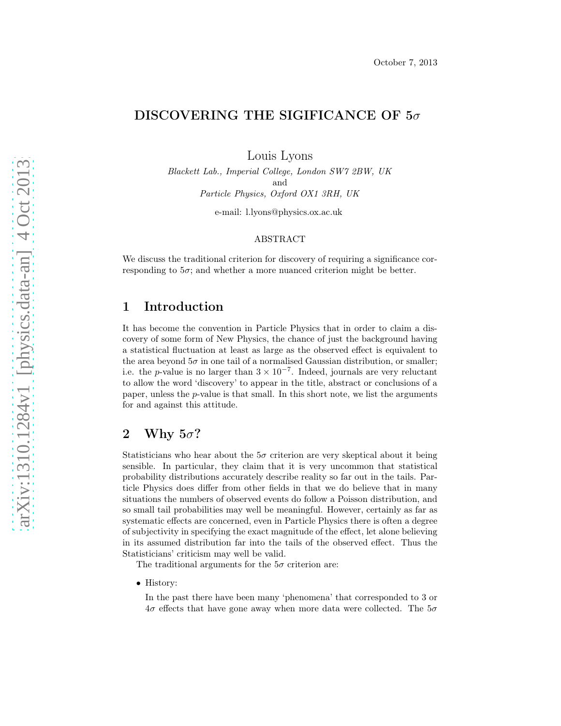# DISCOVERING THE SIGIFICANCE OF  $5\sigma$

Louis Lyons

Blackett Lab., Imperial College, London SW7 2BW, UK and Particle Physics, Oxford OX1 3RH, UK

e-mail: l.lyons@physics.ox.ac.uk

#### ABSTRACT

We discuss the traditional criterion for discovery of requiring a significance corresponding to  $5\sigma$ ; and whether a more nuanced criterion might be better.

### 1 Introduction

It has become the convention in Particle Physics that in order to claim a discovery of some form of New Physics, the chance of just the background having a statistical fluctuation at least as large as the observed effect is equivalent to the area beyond  $5\sigma$  in one tail of a normalised Gaussian distribution, or smaller; i.e. the p-value is no larger than  $3 \times 10^{-7}$ . Indeed, journals are very reluctant to allow the word 'discovery' to appear in the title, abstract or conclusions of a paper, unless the  $p$ -value is that small. In this short note, we list the arguments for and against this attitude.

## 2 Why  $5\sigma$ ?

Statisticians who hear about the  $5\sigma$  criterion are very skeptical about it being sensible. In particular, they claim that it is very uncommon that statistical probability distributions accurately describe reality so far out in the tails. Particle Physics does differ from other fields in that we do believe that in many situations the numbers of observed events do follow a Poisson distribution, and so small tail probabilities may well be meaningful. However, certainly as far as systematic effects are concerned, even in Particle Physics there is often a degree of subjectivity in specifying the exact magnitude of the effect, let alone believing in its assumed distribution far into the tails of the observed effect. Thus the Statisticians' criticism may well be valid.

The traditional arguments for the  $5\sigma$  criterion are:

• History:

In the past there have been many 'phenomena' that corresponded to 3 or  $4\sigma$  effects that have gone away when more data were collected. The  $5\sigma$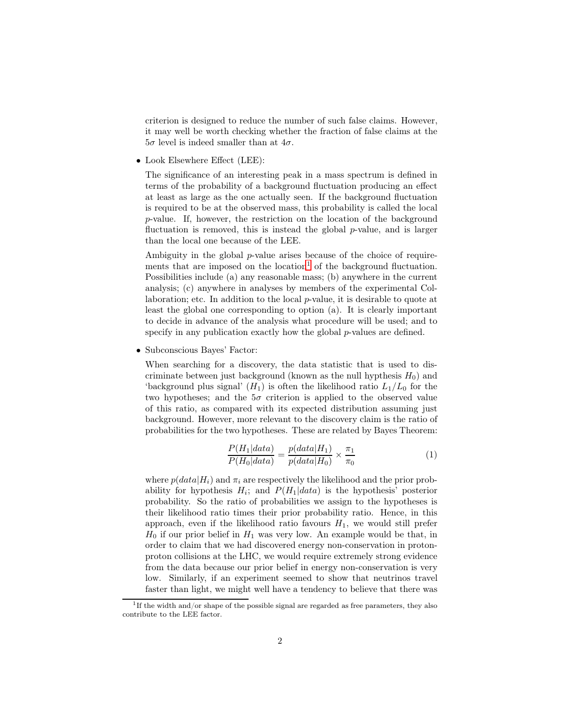criterion is designed to reduce the number of such false claims. However, it may well be worth checking whether the fraction of false claims at the  $5\sigma$  level is indeed smaller than at  $4\sigma$ .

• Look Elsewhere Effect (LEE):

The significance of an interesting peak in a mass spectrum is defined in terms of the probability of a background fluctuation producing an effect at least as large as the one actually seen. If the background fluctuation is required to be at the observed mass, this probability is called the local p-value. If, however, the restriction on the location of the background fluctuation is removed, this is instead the global p-value, and is larger than the local one because of the LEE.

Ambiguity in the global p-value arises because of the choice of require-ments that are imposed on the location<sup>[1](#page-1-0)</sup> of the background fluctuation. Possibilities include (a) any reasonable mass; (b) anywhere in the current analysis; (c) anywhere in analyses by members of the experimental Collaboration; etc. In addition to the local p-value, it is desirable to quote at least the global one corresponding to option (a). It is clearly important to decide in advance of the analysis what procedure will be used; and to specify in any publication exactly how the global *p*-values are defined.

• Subconscious Bayes' Factor:

When searching for a discovery, the data statistic that is used to discriminate between just background (known as the null hypthesis  $H_0$ ) and 'background plus signal'  $(H_1)$  is often the likelihood ratio  $L_1/L_0$  for the two hypotheses; and the  $5\sigma$  criterion is applied to the observed value of this ratio, as compared with its expected distribution assuming just background. However, more relevant to the discovery claim is the ratio of probabilities for the two hypotheses. These are related by Bayes Theorem:

$$
\frac{P(H_1|data)}{P(H_0|data)} = \frac{p(data|H_1)}{p(data|H_0)} \times \frac{\pi_1}{\pi_0}
$$
\n<sup>(1)</sup>

where  $p(data|H_i)$  and  $\pi_i$  are respectively the likelihood and the prior probability for hypothesis  $H_i$ ; and  $P(H_1|data)$  is the hypothesis' posterior probability. So the ratio of probabilities we assign to the hypotheses is their likelihood ratio times their prior probability ratio. Hence, in this approach, even if the likelihood ratio favours  $H_1$ , we would still prefer  $H_0$  if our prior belief in  $H_1$  was very low. An example would be that, in order to claim that we had discovered energy non-conservation in protonproton collisions at the LHC, we would require extremely strong evidence from the data because our prior belief in energy non-conservation is very low. Similarly, if an experiment seemed to show that neutrinos travel faster than light, we might well have a tendency to believe that there was

<span id="page-1-0"></span><sup>&</sup>lt;sup>1</sup>If the width and/or shape of the possible signal are regarded as free parameters, they also contribute to the LEE factor.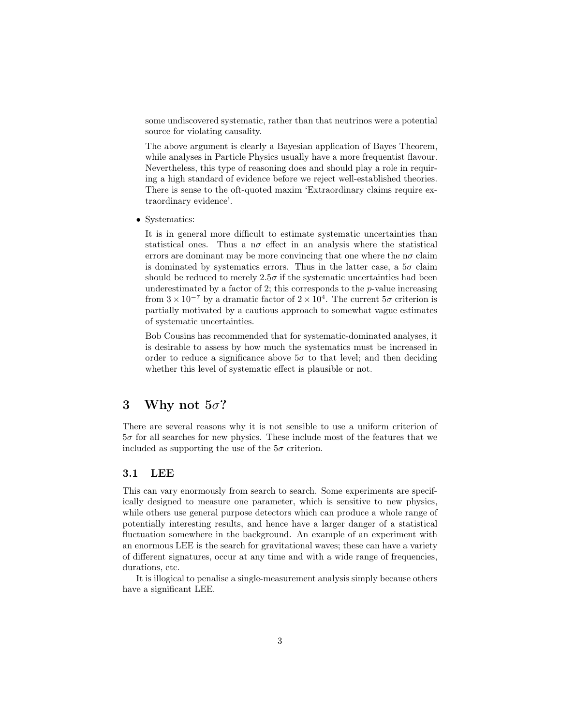some undiscovered systematic, rather than that neutrinos were a potential source for violating causality.

The above argument is clearly a Bayesian application of Bayes Theorem, while analyses in Particle Physics usually have a more frequentist flavour. Nevertheless, this type of reasoning does and should play a role in requiring a high standard of evidence before we reject well-established theories. There is sense to the oft-quoted maxim 'Extraordinary claims require extraordinary evidence'.

• Systematics:

It is in general more difficult to estimate systematic uncertainties than statistical ones. Thus a  $n\sigma$  effect in an analysis where the statistical errors are dominant may be more convincing that one where the  $n\sigma$  claim is dominated by systematics errors. Thus in the latter case, a  $5\sigma$  claim should be reduced to merely  $2.5\sigma$  if the systematic uncertainties had been underestimated by a factor of 2; this corresponds to the  $p$ -value increasing from  $3 \times 10^{-7}$  by a dramatic factor of  $2 \times 10^{4}$ . The current  $5\sigma$  criterion is partially motivated by a cautious approach to somewhat vague estimates of systematic uncertainties.

Bob Cousins has recommended that for systematic-dominated analyses, it is desirable to assess by how much the systematics must be increased in order to reduce a significance above  $5\sigma$  to that level; and then deciding whether this level of systematic effect is plausible or not.

### 3 Why not  $5\sigma$ ?

There are several reasons why it is not sensible to use a uniform criterion of  $5\sigma$  for all searches for new physics. These include most of the features that we included as supporting the use of the  $5\sigma$  criterion.

#### 3.1 LEE

This can vary enormously from search to search. Some experiments are specifically designed to measure one parameter, which is sensitive to new physics, while others use general purpose detectors which can produce a whole range of potentially interesting results, and hence have a larger danger of a statistical fluctuation somewhere in the background. An example of an experiment with an enormous LEE is the search for gravitational waves; these can have a variety of different signatures, occur at any time and with a wide range of frequencies, durations, etc.

It is illogical to penalise a single-measurement analysis simply because others have a significant LEE.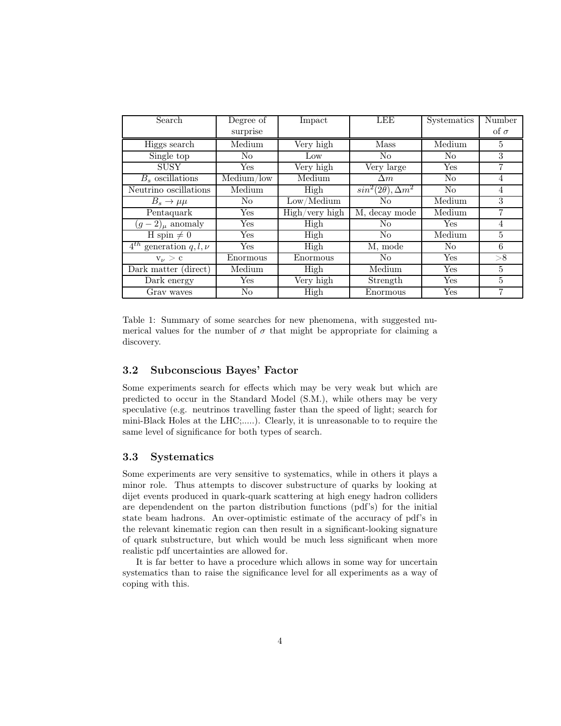| Search                          | Degree of      | Impact         | LEE                          | <b>Systematics</b>   | Number         |
|---------------------------------|----------------|----------------|------------------------------|----------------------|----------------|
|                                 | surprise       |                |                              |                      | of $\sigma$    |
| Higgs search                    | Medium         | Very high      | Mass                         | Medium               | 5              |
| Single top                      | N <sub>o</sub> | Low            | $\rm No$                     | $\rm No$             | 3              |
| <b>SUSY</b>                     | Yes            | Very high      | Very large                   | Yes                  | 7              |
| $B_s$ oscillations              | Medium/low     | Medium         | $\Delta m$                   | N <sub>o</sub>       | $\overline{4}$ |
| Neutrino oscillations           | Medium         | High           | $sin^2(2\theta), \Delta m^2$ | N <sub>o</sub>       | $\overline{4}$ |
| $B_s \to \mu\mu$                | No             | Low/ Medium    | $\rm No$                     | Medium               | 3              |
| Pentaquark                      | Yes            | High/very high | M, decay mode                | Medium               | 7              |
| $(g-2)_{\mu}$ anomaly           | Yes            | High           | N <sub>o</sub>               | Yes                  | $\overline{4}$ |
| $H$ spin $\neq 0$               | Yes            | High           | No                           | Medium               | 5              |
| $4^{th}$ generation q, l, $\nu$ | Yes            | High           | M, mode                      | No                   | 6              |
| $v_{\nu} > c$                   | Enormous       | Enormous       | $\rm No$                     | Yes                  | >8             |
| Dark matter (direct)            | Medium         | High           | Medium                       | Yes                  | 5              |
| Dark energy                     | Yes            | Very high      | Strength                     | Yes                  | 5              |
| Gray waves                      | No             | High           | Enormous                     | $\operatorname{Yes}$ | 7              |

Table 1: Summary of some searches for new phenomena, with suggested numerical values for the number of  $\sigma$  that might be appropriate for claiming a discovery.

### 3.2 Subconscious Bayes' Factor

Some experiments search for effects which may be very weak but which are predicted to occur in the Standard Model (S.M.), while others may be very speculative (e.g. neutrinos travelling faster than the speed of light; search for mini-Black Holes at the LHC;.....). Clearly, it is unreasonable to to require the same level of significance for both types of search.

### 3.3 Systematics

Some experiments are very sensitive to systematics, while in others it plays a minor role. Thus attempts to discover substructure of quarks by looking at dijet events produced in quark-quark scattering at high enegy hadron colliders are dependendent on the parton distribution functions (pdf's) for the initial state beam hadrons. An over-optimistic estimate of the accuracy of pdf's in the relevant kinematic region can then result in a significant-looking signature of quark substructure, but which would be much less significant when more realistic pdf uncertainties are allowed for.

It is far better to have a procedure which allows in some way for uncertain systematics than to raise the significance level for all experiments as a way of coping with this.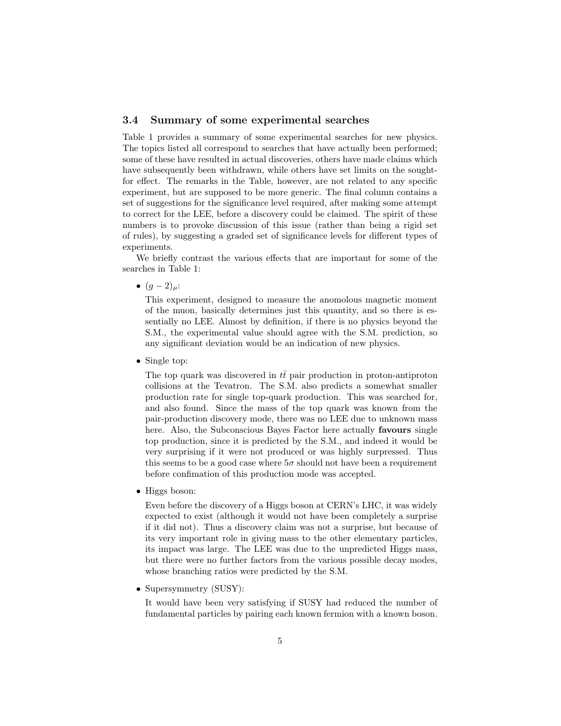#### 3.4 Summary of some experimental searches

Table 1 provides a summary of some experimental searches for new physics. The topics listed all correspond to searches that have actually been performed; some of these have resulted in actual discoveries, others have made claims which have subsequently been withdrawn, while others have set limits on the soughtfor effect. The remarks in the Table, however, are not related to any specific experiment, but are supposed to be more generic. The final column contains a set of suggestions for the significance level required, after making some attempt to correct for the LEE, before a discovery could be claimed. The spirit of these numbers is to provoke discussion of this issue (rather than being a rigid set of rules), by suggesting a graded set of significance levels for different types of experiments.

We briefly contrast the various effects that are important for some of the searches in Table 1:

•  $(g-2)_{\mu}$ :

This experiment, designed to measure the anomolous magnetic moment of the muon, basically determines just this quantity, and so there is essentially no LEE. Almost by definition, if there is no physics beyond the S.M., the experimental value should agree with the S.M. prediction, so any significant deviation would be an indication of new physics.

• Single top:

The top quark was discovered in  $t\bar{t}$  pair production in proton-antiproton collisions at the Tevatron. The S.M. also predicts a somewhat smaller production rate for single top-quark production. This was searched for, and also found. Since the mass of the top quark was known from the pair-production discovery mode, there was no LEE due to unknown mass here. Also, the Subconscious Bayes Factor here actually favours single top production, since it is predicted by the S.M., and indeed it would be very surprising if it were not produced or was highly surpressed. Thus this seems to be a good case where  $5\sigma$  should not have been a requirement before confimation of this production mode was accepted.

• Higgs boson:

Even before the discovery of a Higgs boson at CERN's LHC, it was widely expected to exist (although it would not have been completely a surprise if it did not). Thus a discovery claim was not a surprise, but because of its very important role in giving mass to the other elementary particles, its impact was large. The LEE was due to the unpredicted Higgs mass, but there were no further factors from the various possible decay modes, whose branching ratios were predicted by the S.M.

• Supersymmetry (SUSY):

It would have been very satisfying if SUSY had reduced the number of fundamental particles by pairing each known fermion with a known boson.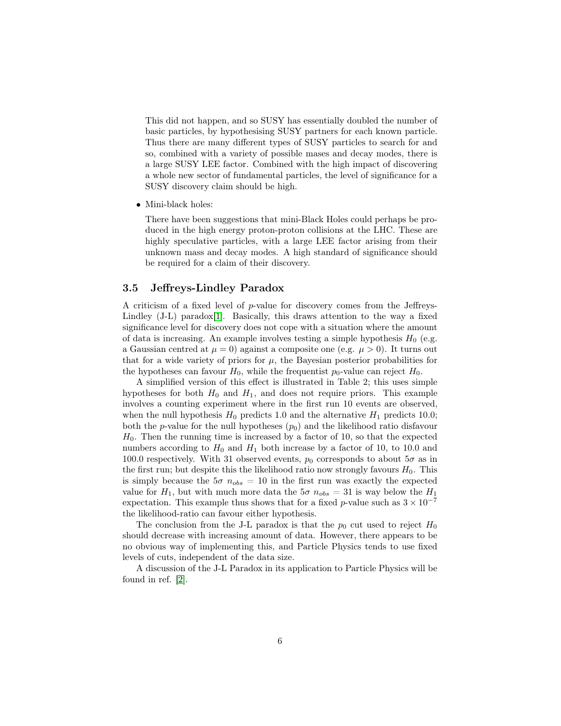This did not happen, and so SUSY has essentially doubled the number of basic particles, by hypothesising SUSY partners for each known particle. Thus there are many different types of SUSY particles to search for and so, combined with a variety of possible mases and decay modes, there is a large SUSY LEE factor. Combined with the high impact of discovering a whole new sector of fundamental particles, the level of significance for a SUSY discovery claim should be high.

• Mini-black holes:

There have been suggestions that mini-Black Holes could perhaps be produced in the high energy proton-proton collisions at the LHC. These are highly speculative particles, with a large LEE factor arising from their unknown mass and decay modes. A high standard of significance should be required for a claim of their discovery.

#### 3.5 Jeffreys-Lindley Paradox

A criticism of a fixed level of p-value for discovery comes from the Jeffreys-Lindley (J-L) paradox[\[1\]](#page-6-0). Basically, this draws attention to the way a fixed significance level for discovery does not cope with a situation where the amount of data is increasing. An example involves testing a simple hypothesis  $H_0$  (e.g. a Gaussian centred at  $\mu = 0$ ) against a composite one (e.g.  $\mu > 0$ ). It turns out that for a wide variety of priors for  $\mu$ , the Bayesian posterior probabilities for the hypotheses can favour  $H_0$ , while the frequentist  $p_0$ -value can reject  $H_0$ .

A simplified version of this effect is illustrated in Table 2; this uses simple hypotheses for both  $H_0$  and  $H_1$ , and does not require priors. This example involves a counting experiment where in the first run 10 events are observed, when the null hypothesis  $H_0$  predicts 1.0 and the alternative  $H_1$  predicts 10.0; both the *p*-value for the null hypotheses  $(p_0)$  and the likelihood ratio disfavour  $H_0$ . Then the running time is increased by a factor of 10, so that the expected numbers according to  $H_0$  and  $H_1$  both increase by a factor of 10, to 10.0 and 100.0 respectively. With 31 observed events,  $p_0$  corresponds to about  $5\sigma$  as in the first run; but despite this the likelihood ratio now strongly favours  $H_0$ . This is simply because the  $5\sigma$   $n_{obs} = 10$  in the first run was exactly the expected value for  $H_1$ , but with much more data the  $5\sigma$   $n_{obs} = 31$  is way below the  $H_1$ expectation. This example thus shows that for a fixed p-value such as  $3 \times 10^{-7}$ the likelihood-ratio can favour either hypothesis.

The conclusion from the J-L paradox is that the  $p_0$  cut used to reject  $H_0$ should decrease with increasing amount of data. However, there appears to be no obvious way of implementing this, and Particle Physics tends to use fixed levels of cuts, independent of the data size.

A discussion of the J-L Paradox in its application to Particle Physics will be found in ref. [\[2\]](#page-6-1).